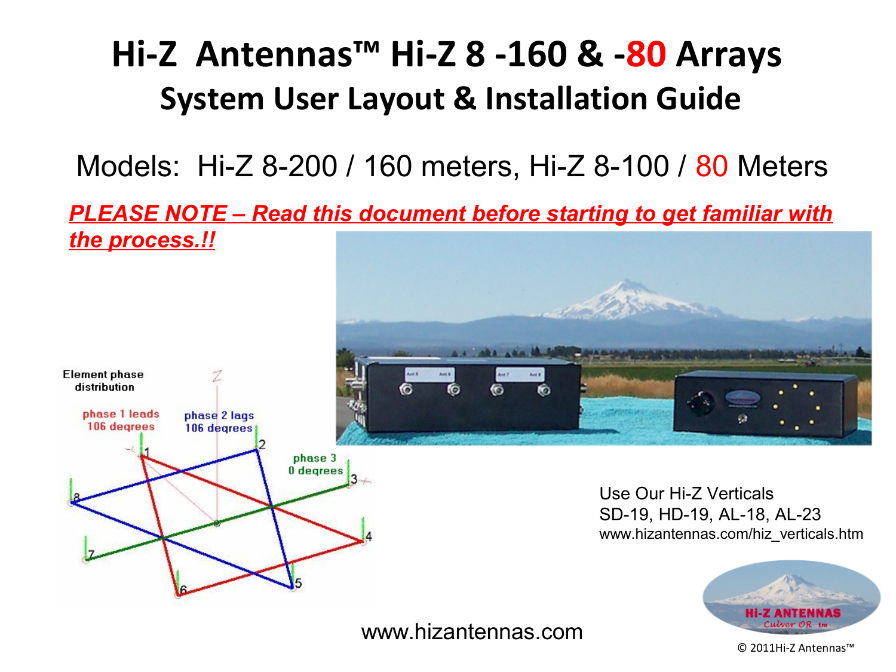### **Hi-Z Antennas™ Hi-Z 8 -160 & -80 Arrays System User Layout & Installation Guide**

Models: Hi-Z 8-200 / 160 meters, Hi-Z 8-100 / 80 Meters

*PLEASE NOTE – Read this document before starting to get familiar with the process.!!*



www.hizantennas.com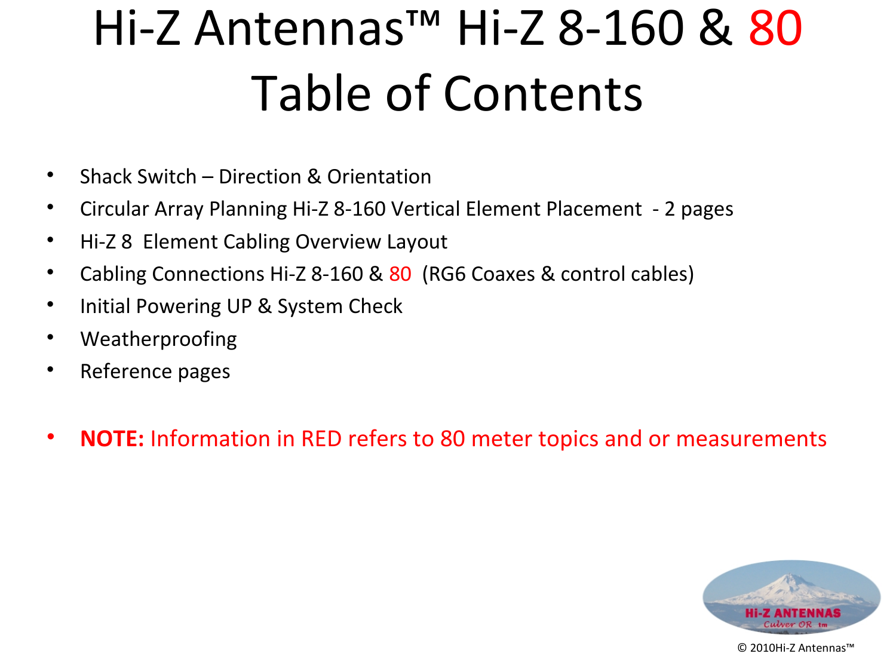# Hi-Z Antennas™ Hi-Z 8-160 & 80 Table of Contents

- Shack Switch Direction & Orientation
- Circular Array Planning Hi-Z 8-160 Vertical Element Placement 2 pages
- Hi-Z 8 Element Cabling Overview Layout
- Cabling Connections Hi-Z 8-160 & 80 (RG6 Coaxes & control cables)
- Initial Powering UP & System Check
- Weatherproofing
- Reference pages
- **NOTE:** Information in RED refers to 80 meter topics and or measurements

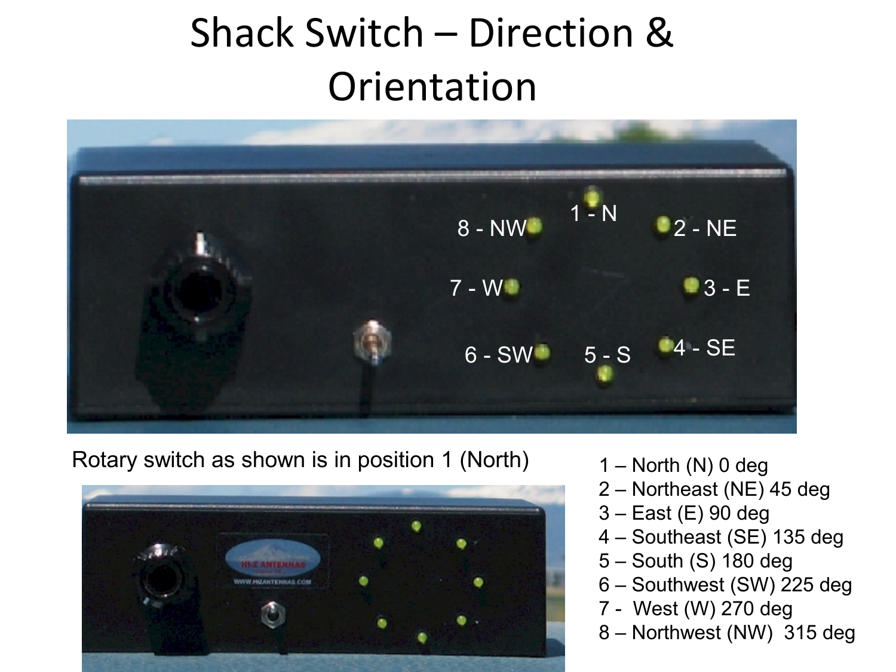## Shack Switch – Direction & **Orientation**



Rotary switch as shown is in position 1 (North)



- $1 -$  North (N) 0 deg
- 2 Northeast (NE) 45 deg
- 3 East (E) 90 deg
- 4 Southeast (SE) 135 deg
- 5 South (S) 180 deg
- 6 Southwest (SW) 225 deg
- 7 West (W) 270 deg
- 8 Northwest (NW) 315 deg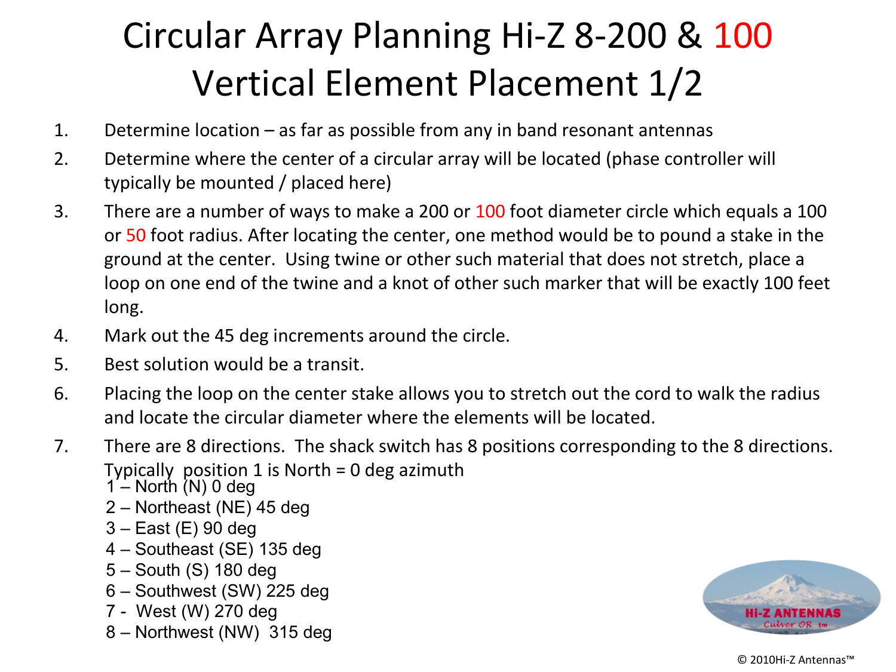### Circular Array Planning Hi-Z 8-200 & 100 Vertical Element Placement 1/2

- 1. Determine location as far as possible from any in band resonant antennas
- 2. Determine where the center of a circular array will be located (phase controller will typically be mounted / placed here)
- 3. There are a number of ways to make a 200 or 100 foot diameter circle which equals a 100 or 50 foot radius. After locating the center, one method would be to pound a stake in the ground at the center. Using twine or other such material that does not stretch, place a loop on one end of the twine and a knot of other such marker that will be exactly 100 feet long.
- 4. Mark out the 45 deg increments around the circle.
- 5. Best solution would be a transit.
- 6. Placing the loop on the center stake allows you to stretch out the cord to walk the radius and locate the circular diameter where the elements will be located.
- 7. There are 8 directions. The shack switch has 8 positions corresponding to the 8 directions. Typically position 1 is North = 0 deg azimuth
	- $1 -$  North (N) 0 deg
	- 2 Northeast (NE) 45 deg
	- 3 East (E) 90 deg
	- 4 Southeast (SE) 135 deg
	- 5 South (S) 180 deg
	- 6 Southwest (SW) 225 deg
	- 7 West (W) 270 deg
	- 8 Northwest (NW) 315 deg

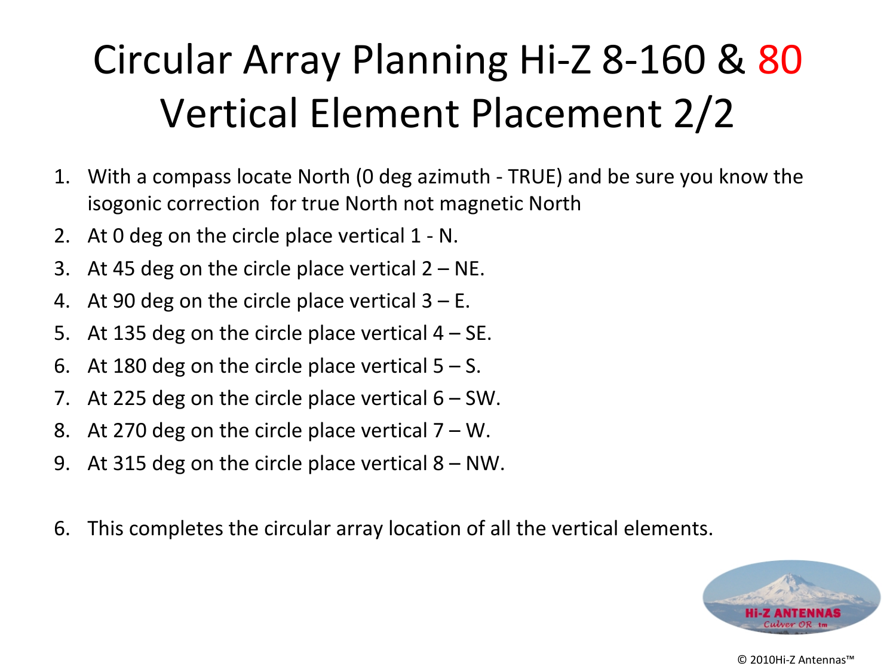## Circular Array Planning Hi-Z 8-160 & 80 Vertical Element Placement 2/2

- 1. With a compass locate North (0 deg azimuth TRUE) and be sure you know the isogonic correction for true North not magnetic North
- 2. At 0 deg on the circle place vertical 1 N.
- 3. At 45 deg on the circle place vertical  $2 NE$ .
- 4. At 90 deg on the circle place vertical  $3 E$ .
- 5. At 135 deg on the circle place vertical  $4 SE$ .
- 6. At 180 deg on the circle place vertical  $5 S$ .
- 7. At 225 deg on the circle place vertical  $6 SW$ .
- 8. At 270 deg on the circle place vertical  $7 W$ .
- 9. At 315 deg on the circle place vertical 8 NW.
- 6. This completes the circular array location of all the vertical elements.

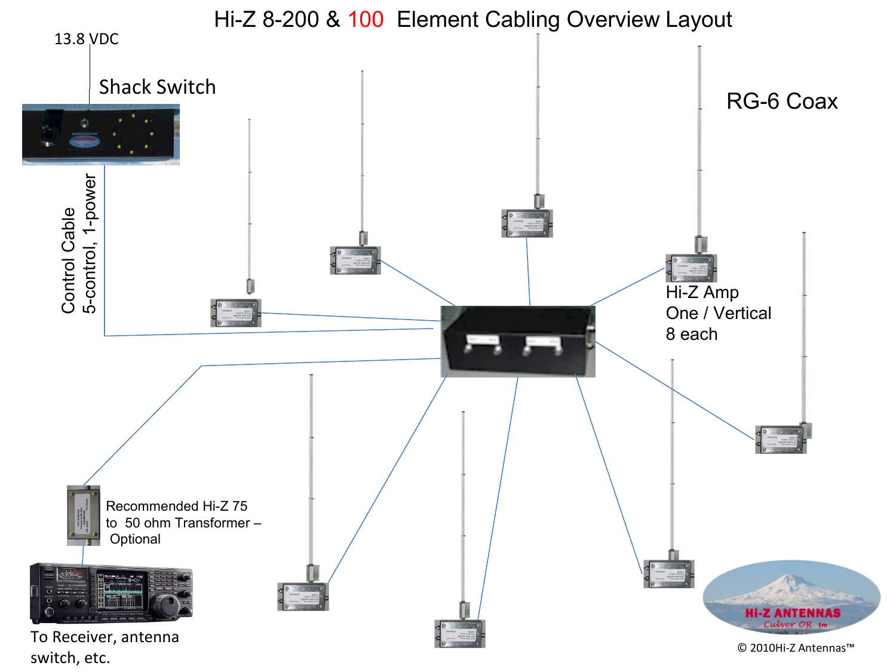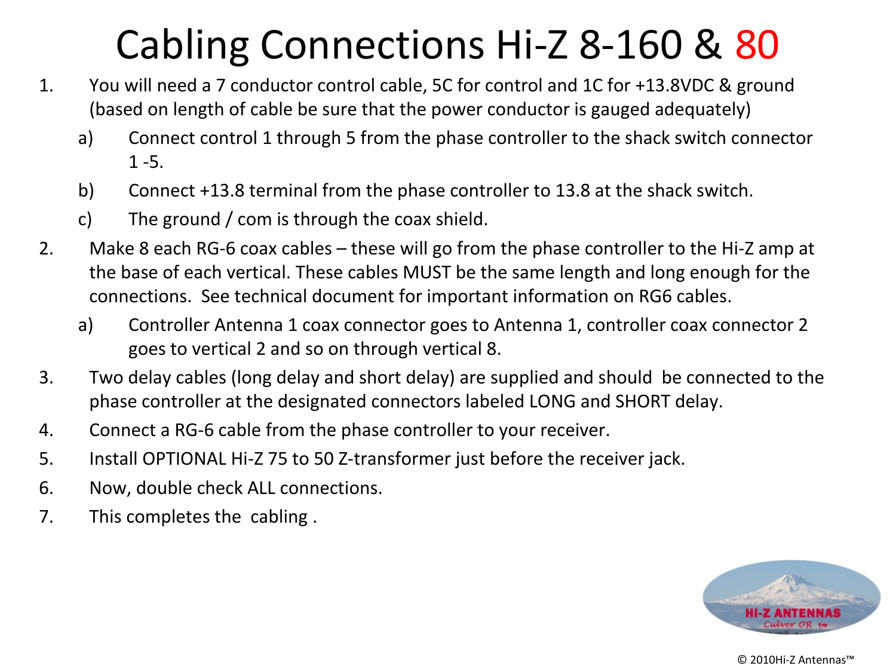## Cabling Connections Hi-Z 8-160 & 80

- 1. You will need a 7 conductor control cable, 5C for control and 1C for +13.8VDC & ground (based on length of cable be sure that the power conductor is gauged adequately)
	- a) Connect control 1 through 5 from the phase controller to the shack switch connector 1 -5.
	- b) Connect +13.8 terminal from the phase controller to 13.8 at the shack switch.
	- c) The ground / com is through the coax shield.
- 2. Make 8 each RG-6 coax cables these will go from the phase controller to the Hi-Z amp at the base of each vertical. These cables MUST be the same length and long enough for the connections. See technical document for important information on RG6 cables.
	- a) Controller Antenna 1 coax connector goes to Antenna 1, controller coax connector 2 goes to vertical 2 and so on through vertical 8.
- 3. Two delay cables (long delay and short delay) are supplied and should be connected to the phase controller at the designated connectors labeled LONG and SHORT delay.
- 4. Connect a RG-6 cable from the phase controller to your receiver.
- 5. Install OPTIONAL Hi-Z 75 to 50 Z-transformer just before the receiver jack.
- 6. Now, double check ALL connections.
- 7. This completes the cabling .

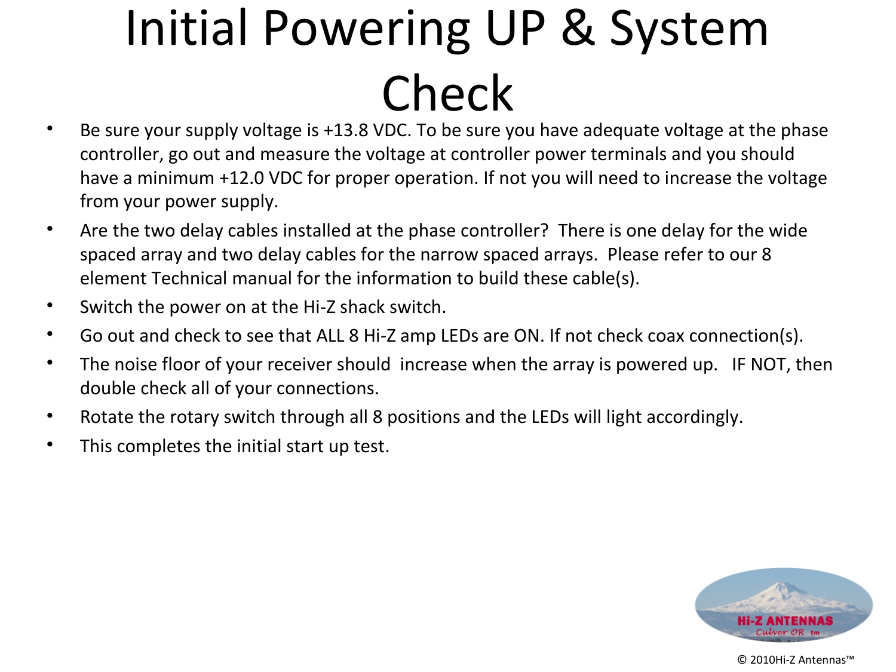# Initial Powering UP & System Check

- Be sure your supply voltage is +13.8 VDC. To be sure you have adequate voltage at the phase controller, go out and measure the voltage at controller power terminals and you should have a minimum +12.0 VDC for proper operation. If not you will need to increase the voltage from your power supply.
- Are the two delay cables installed at the phase controller? There is one delay for the wide spaced array and two delay cables for the narrow spaced arrays. Please refer to our 8 element Technical manual for the information to build these cable(s).
- Switch the power on at the Hi-Z shack switch.
- Go out and check to see that ALL 8 Hi-Z amp LEDs are ON. If not check coax connection(s).
- The noise floor of your receiver should increase when the array is powered up. IF NOT, then double check all of your connections.
- Rotate the rotary switch through all 8 positions and the LEDs will light accordingly.
- This completes the initial start up test.

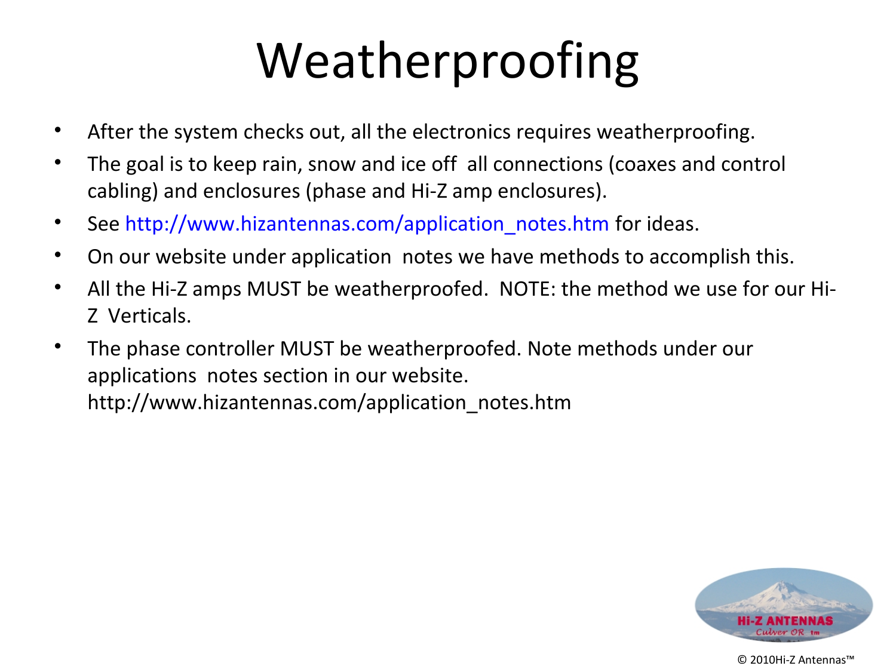## Weatherproofing

- After the system checks out, all the electronics requires weatherproofing.
- The goal is to keep rain, snow and ice off all connections (coaxes and control cabling) and enclosures (phase and Hi-Z amp enclosures).
- See [http://www.hizantennas.com/application\\_notes.htm](http://www.hizantennas.com/application_notes.htm) for ideas.
- On our website under application notes we have methods to accomplish this.
- All the Hi-Z amps MUST be weatherproofed. NOTE: the method we use for our Hi-Z Verticals.
- The phase controller MUST be weatherproofed. Note methods under our applications notes section in our website. http://www.hizantennas.com/application\_notes.htm

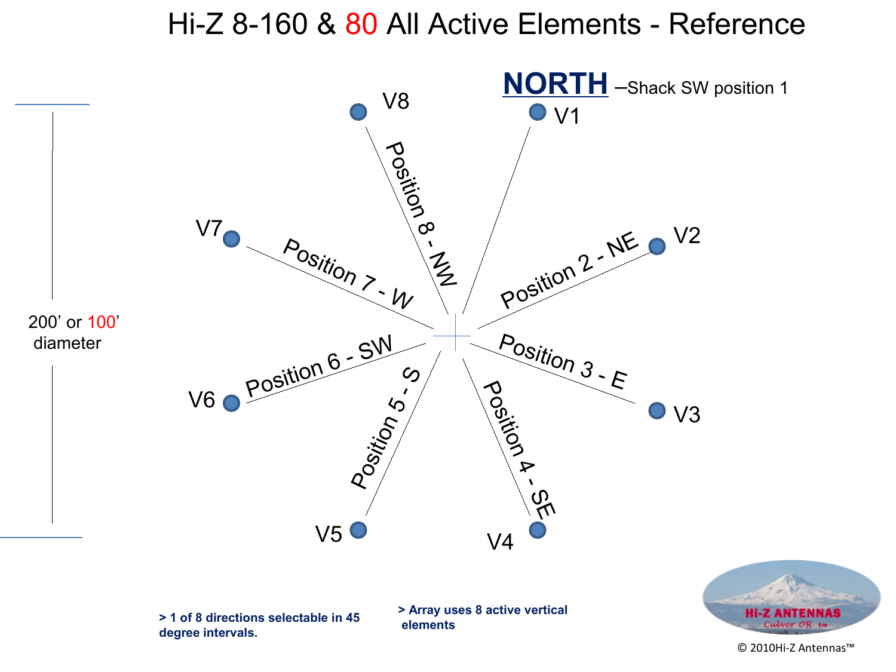#### Hi-Z 8-160 & 80 All Active Elements - Reference

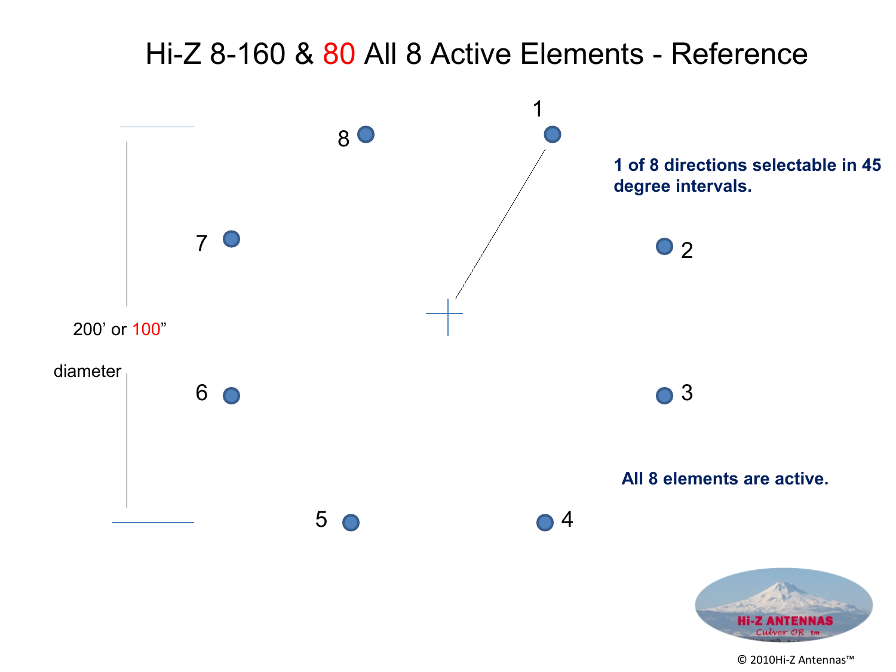### Hi-Z 8-160 & 80 All 8 Active Elements - Reference